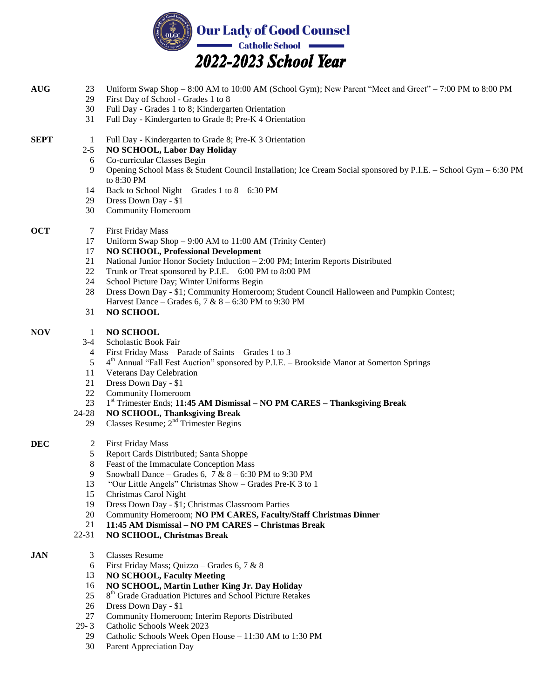

- **AUG** 23 Uniform Swap Shop – 8:00 AM to 10:00 AM (School Gym); New Parent "Meet and Greet" – 7:00 PM to 8:00 PM
	- 29 First Day of School - Grades 1 to 8
		- 30 Full Day - Grades 1 to 8; Kindergarten Orientation
		- 31 Full Day - Kindergarten to Grade 8; Pre-K 4 Orientation
- **SEPT** 1 Full Day Kindergarten to Grade 8; Pre-K 3 Orientation

## 2-5 **NO SCHOOL, Labor Day Holiday**

- 6 Co-curricular Classes Begin
- 9 Opening School Mass & Student Council Installation; Ice Cream Social sponsored by P.I.E. – School Gym – 6:30 PM to 8:30 PM
- 14 Back to School Night – Grades 1 to  $8 - 6:30$  PM
- 29 Dress Down Day - \$1
- 30 Community Homeroom
- **OCT** 7 First Friday Mass
	- 17 Uniform Swap Shop – 9:00 AM to 11:00 AM (Trinity Center)
	- 17 **NO SCHOOL, Professional Development**
	- 21 National Junior Honor Society Induction – 2:00 PM; Interim Reports Distributed
	- 22 Trunk or Treat sponsored by P.I.E. – 6:00 PM to 8:00 PM
	- 24 School Picture Day; Winter Uniforms Begin
	- 28 Dress Down Day - \$1; Community Homeroom; Student Council Halloween and Pumpkin Contest; Harvest Dance – Grades 6, 7 & 8 – 6:30 PM to 9:30 PM
	- 31 **NO SCHOOL**

## **NOV** 1 **NO SCHOOL**

- 3-4 Scholastic Book Fair
- 4 First Friday Mass – Parade of Saints – Grades 1 to 3
- 5 4<sup>th</sup> Annual "Fall Fest Auction" sponsored by P.I.E. - Brookside Manor at Somerton Springs
- 11 Veterans Day Celebration
- 212 Dress Down Day - \$1
- 22 Community Homeroom
- 23 1 st Trimester Ends; **11:45 AM Dismissal – NO PM CARES – Thanksgiving Break**

## 24-28 **NO SCHOOL, Thanksgiving Break**

- 29 Classes Resume; 2nd Trimester Begins
- **DEC** 2 First Friday Mass
	- 5 Report Cards Distributed; Santa Shoppe
	- 8 Feast of the Immaculate Conception Mass
	- 9 Snowball Dance – Grades 6,  $7 & 8 - 6:30$  PM to 9:30 PM
	- 13 "Our Little Angels" Christmas Show – Grades Pre-K 3 to 1
	- 15 Christmas Carol Night
	- 19 Dress Down Day - \$1; Christmas Classroom Parties
	- 20 Community Homeroom; **NO PM CARES, Faculty/Staff Christmas Dinner**
	- 21 **11:45 AM Dismissal – NO PM CARES – Christmas Break**
	- 22-31 **NO SCHOOL, Christmas Break**
- **JAN** 3 Classes Resume
	- 6 First Friday Mass; Quizzo – Grades 6, 7 & 8
	- 13 **NO SCHOOL, Faculty Meeting**
	- 16 **NO SCHOOL, Martin Luther King Jr. Day Holiday**
	- 25 8 th Grade Graduation Pictures and School Picture Retakes
	- 26 Dress Down Day - \$1
	- 27 Community Homeroom; Interim Reports Distributed
	- 29- 3 Catholic Schools Week 2023
		- 29 Catholic Schools Week Open House – 11:30 AM to 1:30 PM
		- 30 Parent Appreciation Day